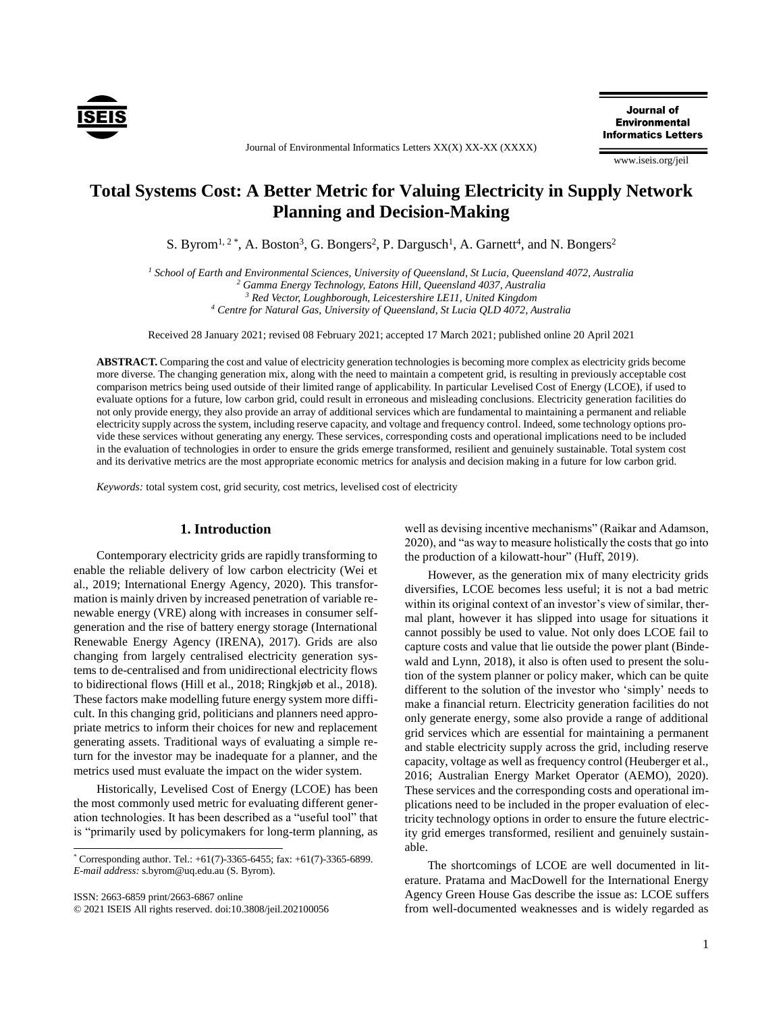

Journal of Environmental Informatics Letters XX(X) XX-XX (XXXX)

Journal of **Environmental Informatics Letters** 

www.iseis.org/jeil

# **Total Systems Cost: A Better Metric for Valuing Electricity in Supply Network Planning and Decision-Making**

S. Byrom<sup>1, 2\*</sup>, A. Boston<sup>3</sup>, G. Bongers<sup>2</sup>, P. Dargusch<sup>1</sup>, A. Garnett<sup>4</sup>, and N. Bongers<sup>2</sup>

*<sup>1</sup> School of Earth and Environmental Sciences, University of Queensland, St Lucia, Queensland 4072, Australia <sup>2</sup> Gamma Energy Technology, Eatons Hill, Queensland 4037, Australia <sup>3</sup> Red Vector, Loughborough, Leicestershire LE11, United Kingdom*

*<sup>4</sup> Centre for Natural Gas, University of Queensland, St Lucia QLD 4072, Australia*

Received 28 January 2021; revised 08 February 2021; accepted 17 March 2021; published online 20 April 2021

**ABSTRACT.** Comparing the cost and value of electricity generation technologies is becoming more complex as electricity grids become more diverse. The changing generation mix, along with the need to maintain a competent grid, is resulting in previously acceptable cost comparison metrics being used outside of their limited range of applicability. In particular Levelised Cost of Energy (LCOE), if used to evaluate options for a future, low carbon grid, could result in erroneous and misleading conclusions. Electricity generation facilities do not only provide energy, they also provide an array of additional services which are fundamental to maintaining a permanent and reliable electricity supply across the system, including reserve capacity, and voltage and frequency control. Indeed, some technology options provide these services without generating any energy. These services, corresponding costs and operational implications need to be included in the evaluation of technologies in order to ensure the grids emerge transformed, resilient and genuinely sustainable. Total system cost and its derivative metrics are the most appropriate economic metrics for analysis and decision making in a future for low carbon grid.

*Keywords:* total system cost, grid security, cost metrics, levelised cost of electricity

## **1. Introduction**

Contemporary electricity grids are rapidly transforming to enable the reliable delivery of low carbon electricity (Wei et al., 2019; International Energy Agency, 2020). This transformation is mainly driven by increased penetration of variable renewable energy (VRE) along with increases in consumer selfgeneration and the rise of battery energy storage (International Renewable Energy Agency (IRENA), 2017). Grids are also changing from largely centralised electricity generation systems to de-centralised and from unidirectional electricity flows to bidirectional flows (Hill et al., 2018; Ringkjøb et al., 2018). These factors make modelling future energy system more difficult. In this changing grid, politicians and planners need appropriate metrics to inform their choices for new and replacement generating assets. Traditional ways of evaluating a simple return for the investor may be inadequate for a planner, and the metrics used must evaluate the impact on the wider system.

Historically, Levelised Cost of Energy (LCOE) has been the most commonly used metric for evaluating different generation technologies. It has been described as a "useful tool" that is "primarily used by policymakers for long-term planning, as

ISSN: 2663-6859 print/2663-6867 online

© 2021 ISEIS All rights reserved. doi:10.3808/jeil.202100056

well as devising incentive mechanisms" (Raikar and Adamson, 2020), and "as way to measure holistically the costs that go into the production of a kilowatt-hour" (Huff, 2019).

However, as the generation mix of many electricity grids diversifies, LCOE becomes less useful; it is not a bad metric within its original context of an investor's view of similar, thermal plant, however it has slipped into usage for situations it cannot possibly be used to value. Not only does LCOE fail to capture costs and value that lie outside the power plant (Bindewald and Lynn, 2018), it also is often used to present the solution of the system planner or policy maker, which can be quite different to the solution of the investor who 'simply' needs to make a financial return. Electricity generation facilities do not only generate energy, some also provide a range of additional grid services which are essential for maintaining a permanent and stable electricity supply across the grid, including reserve capacity, voltage as well as frequency control (Heuberger et al., 2016; Australian Energy Market Operator (AEMO), 2020). These services and the corresponding costs and operational implications need to be included in the proper evaluation of electricity technology options in order to ensure the future electricity grid emerges transformed, resilient and genuinely sustainable.

The shortcomings of LCOE are well documented in literature. Pratama and MacDowell for the International Energy Agency Green House Gas describe the issue as: LCOE suffers from well-documented weaknesses and is widely regarded as

 $*$  Corresponding author. Tel.:  $+61(7)-3365-6455$ ; fax:  $+61(7)-3365-6899$ . *E-mail address:* s.byrom@uq.edu.au (S. Byrom).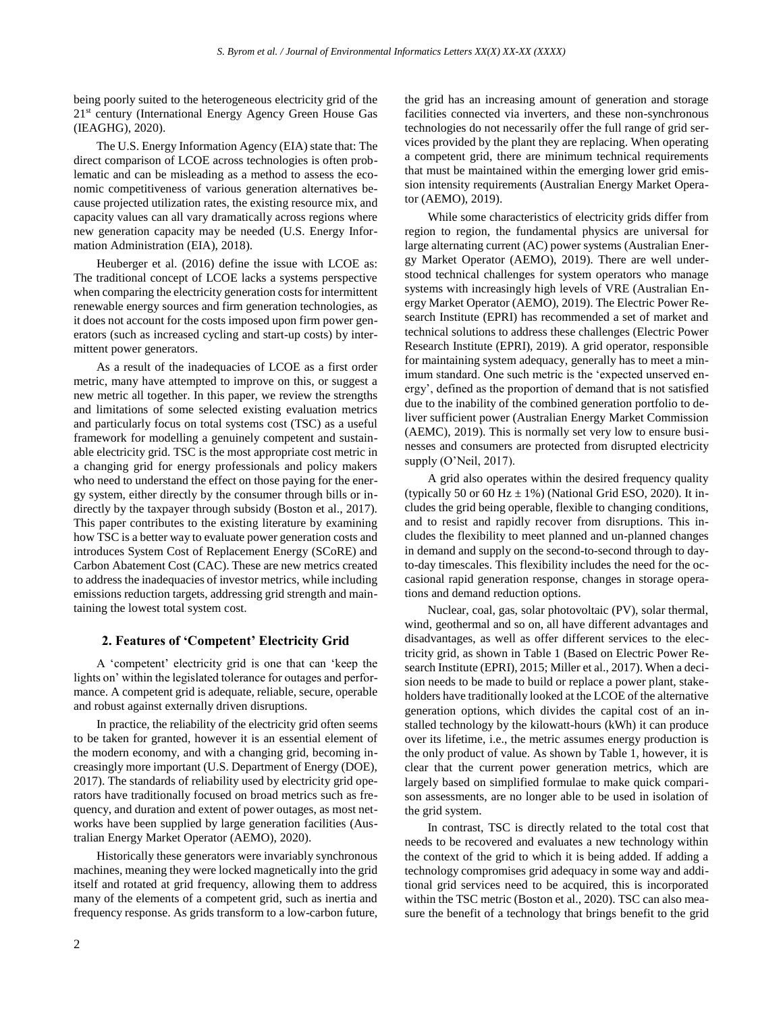being poorly suited to the heterogeneous electricity grid of the 21st century (International Energy Agency Green House Gas (IEAGHG), 2020).

The U.S. Energy Information Agency (EIA) state that: The direct comparison of LCOE across technologies is often problematic and can be misleading as a method to assess the economic competitiveness of various generation alternatives because projected utilization rates, the existing resource mix, and capacity values can all vary dramatically across regions where new generation capacity may be needed (U.S. Energy Information Administration (EIA), 2018).

Heuberger et al. (2016) define the issue with LCOE as: The traditional concept of LCOE lacks a systems perspective when comparing the electricity generation costs for intermittent renewable energy sources and firm generation technologies, as it does not account for the costs imposed upon firm power generators (such as increased cycling and start-up costs) by intermittent power generators.

As a result of the inadequacies of LCOE as a first order metric, many have attempted to improve on this, or suggest a new metric all together. In this paper, we review the strengths and limitations of some selected existing evaluation metrics and particularly focus on total systems cost (TSC) as a useful framework for modelling a genuinely competent and sustainable electricity grid. TSC is the most appropriate cost metric in a changing grid for energy professionals and policy makers who need to understand the effect on those paying for the energy system, either directly by the consumer through bills or indirectly by the taxpayer through subsidy (Boston et al., 2017). This paper contributes to the existing literature by examining how TSC is a better way to evaluate power generation costs and introduces System Cost of Replacement Energy (SCoRE) and Carbon Abatement Cost (CAC). These are new metrics created to address the inadequacies of investor metrics, while including emissions reduction targets, addressing grid strength and maintaining the lowest total system cost.

## **2. Features of 'Competent' Electricity Grid**

A 'competent' electricity grid is one that can 'keep the lights on' within the legislated tolerance for outages and performance. A competent grid is adequate, reliable, secure, operable and robust against externally driven disruptions.

In practice, the reliability of the electricity grid often seems to be taken for granted, however it is an essential element of the modern economy, and with a changing grid, becoming increasingly more important (U.S. Department of Energy (DOE), 2017). The standards of reliability used by electricity grid operators have traditionally focused on broad metrics such as frequency, and duration and extent of power outages, as most networks have been supplied by large generation facilities (Australian Energy Market Operator (AEMO), 2020).

Historically these generators were invariably synchronous machines, meaning they were locked magnetically into the grid itself and rotated at grid frequency, allowing them to address many of the elements of a competent grid, such as inertia and frequency response. As grids transform to a low-carbon future, the grid has an increasing amount of generation and storage facilities connected via inverters, and these non-synchronous technologies do not necessarily offer the full range of grid services provided by the plant they are replacing. When operating a competent grid, there are minimum technical requirements that must be maintained within the emerging lower grid emission intensity requirements (Australian Energy Market Operator (AEMO), 2019).

While some characteristics of electricity grids differ from region to region, the fundamental physics are universal for large alternating current (AC) power systems (Australian Energy Market Operator (AEMO), 2019). There are well understood technical challenges for system operators who manage systems with increasingly high levels of VRE (Australian Energy Market Operator (AEMO), 2019). The Electric Power Research Institute (EPRI) has recommended a set of market and technical solutions to address these challenges (Electric Power Research Institute (EPRI), 2019). A grid operator, responsible for maintaining system adequacy, generally has to meet a minimum standard. One such metric is the 'expected unserved energy', defined as the proportion of demand that is not satisfied due to the inability of the combined generation portfolio to deliver sufficient power (Australian Energy Market Commission (AEMC), 2019). This is normally set very low to ensure businesses and consumers are protected from disrupted electricity supply (O'Neil, 2017).

A grid also operates within the desired frequency quality (typically 50 or 60 Hz  $\pm$  1%) (National Grid ESO, 2020). It includes the grid being operable, flexible to changing conditions, and to resist and rapidly recover from disruptions. This includes the flexibility to meet planned and un-planned changes in demand and supply on the second-to-second through to dayto-day timescales. This flexibility includes the need for the occasional rapid generation response, changes in storage operations and demand reduction options.

Nuclear, coal, gas, solar photovoltaic (PV), solar thermal, wind, geothermal and so on, all have different advantages and disadvantages, as well as offer different services to the electricity grid, as shown in Table 1 (Based on Electric Power Research Institute (EPRI), 2015; Miller et al., 2017). When a decision needs to be made to build or replace a power plant, stakeholders have traditionally looked at the LCOE of the alternative generation options, which divides the capital cost of an installed technology by the kilowatt-hours (kWh) it can produce over its lifetime, i.e., the metric assumes energy production is the only product of value. As shown by Table 1, however, it is clear that the current power generation metrics, which are largely based on simplified formulae to make quick comparison assessments, are no longer able to be used in isolation of the grid system.

In contrast, TSC is directly related to the total cost that needs to be recovered and evaluates a new technology within the context of the grid to which it is being added. If adding a technology compromises grid adequacy in some way and additional grid services need to be acquired, this is incorporated within the TSC metric (Boston et al., 2020). TSC can also measure the benefit of a technology that brings benefit to the grid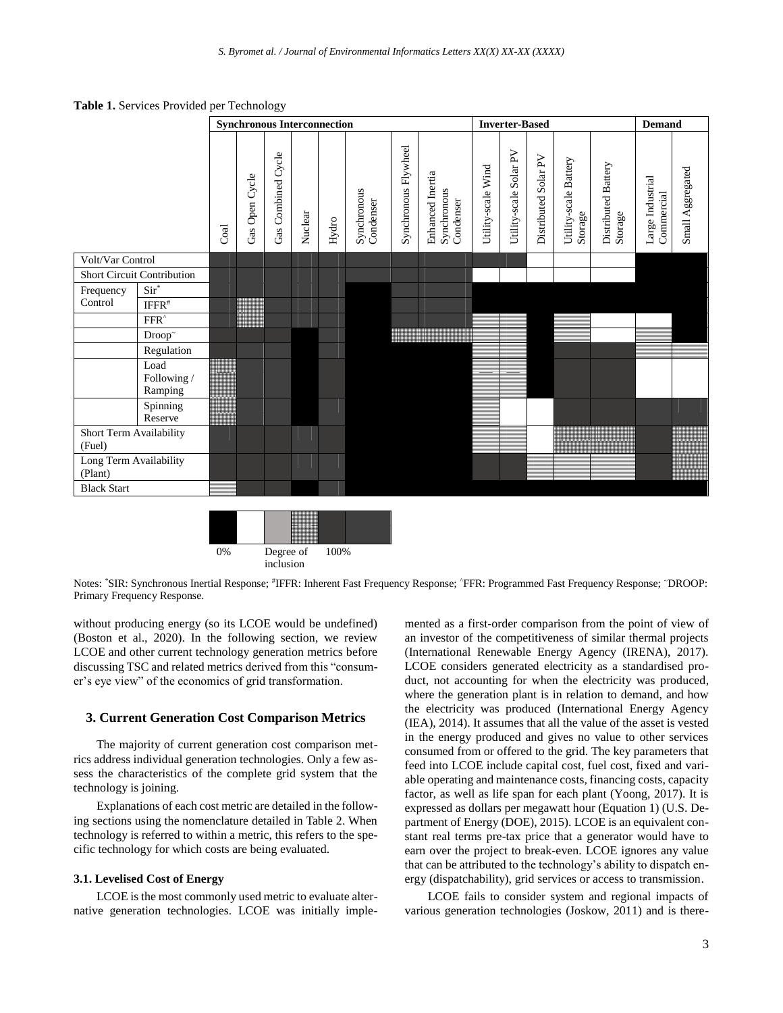**Table 1.** Services Provided per Technology





Notes: \*SIR: Synchronous Inertial Response; #IFFR: Inherent Fast Frequency Response; ^FFR: Programmed Fast Frequency Response; ~DROOP: Primary Frequency Response.

without producing energy (so its LCOE would be undefined) (Boston et al., 2020). In the following section, we review LCOE and other current technology generation metrics before discussing TSC and related metrics derived from this "consumer's eye view" of the economics of grid transformation.

# **3. Current Generation Cost Comparison Metrics**

The majority of current generation cost comparison metrics address individual generation technologies. Only a few assess the characteristics of the complete grid system that the technology is joining.

Explanations of each cost metric are detailed in the following sections using the nomenclature detailed in Table 2. When technology is referred to within a metric, this refers to the specific technology for which costs are being evaluated.

# **3.1. Levelised Cost of Energy**

LCOE is the most commonly used metric to evaluate alternative generation technologies. LCOE was initially implemented as a first-order comparison from the point of view of an investor of the competitiveness of similar thermal projects (International Renewable Energy Agency (IRENA), 2017). LCOE considers generated electricity as a standardised product, not accounting for when the electricity was produced, where the generation plant is in relation to demand, and how the electricity was produced (International Energy Agency (IEA), 2014). It assumes that all the value of the asset is vested in the energy produced and gives no value to other services consumed from or offered to the grid. The key parameters that feed into LCOE include capital cost, fuel cost, fixed and variable operating and maintenance costs, financing costs, capacity factor, as well as life span for each plant (Yoong, 2017). It is expressed as dollars per megawatt hour (Equation 1) (U.S. Department of Energy (DOE), 2015). LCOE is an equivalent constant real terms pre-tax price that a generator would have to earn over the project to break-even. LCOE ignores any value that can be attributed to the technology's ability to dispatch energy (dispatchability), grid services or access to transmission.

LCOE fails to consider system and regional impacts of various generation technologies (Joskow, 2011) and is there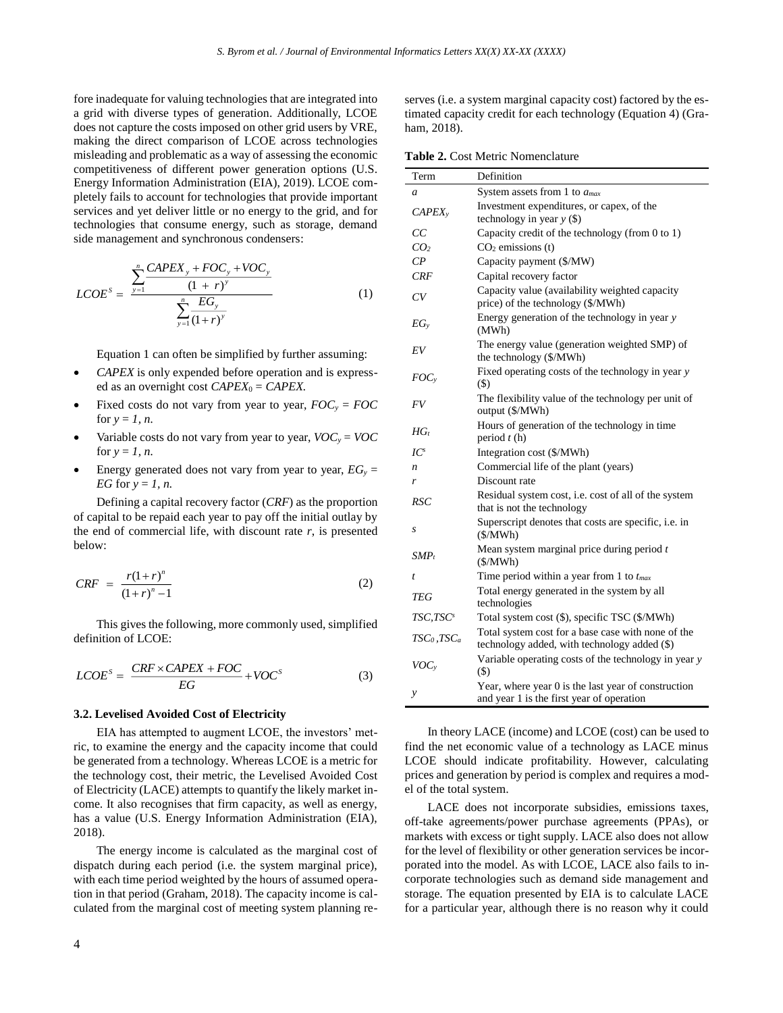fore inadequate for valuing technologies that are integrated into a grid with diverse types of generation. Additionally, LCOE does not capture the costs imposed on other grid users by VRE, making the direct comparison of LCOE across technologies misleading and problematic as a way of assessing the economic competitiveness of different power generation options (U.S. Energy Information Administration (EIA), 2019). LCOE completely fails to account for technologies that provide important services and yet deliver little or no energy to the grid, and for technologies that consume energy, such as storage, demand side management and synchronous condensers:

$$
LCOE^{S} = \frac{\sum_{y=1}^{n} \frac{CAPEX_{y} + FOC_{y} + VOC_{y}}{(1+r)^{y}}}{\sum_{y=1}^{n} \frac{EG_{y}}{(1+r)^{y}}}
$$
(1)

Equation 1 can often be simplified by further assuming:

- *CAPEX* is only expended before operation and is expressed as an overnight cost  $CAPEX_0 = CAPEX$ .
- Fixed costs do not vary from year to year,  $FOC<sub>y</sub> = FOC$ for  $y = 1$ , *n*.
- Variable costs do not vary from year to year,  $VOC<sub>y</sub> = VOC$ for  $y = 1$ , *n*.
- Energy generated does not vary from year to year,  $EG<sub>y</sub> =$ *EG* for *y* = *1, n.*

Defining a capital recovery factor (*CRF*) as the proportion of capital to be repaid each year to pay off the initial outlay by the end of commercial life, with discount rate  $r$ , is presented below:

$$
CRF = \frac{r(1+r)^n}{(1+r)^n - 1}
$$
 (2)

This gives the following, more commonly used, simplified definition of LCOE:

$$
LCOES = \frac{CRF \times CAPEX + FOC}{EG} + VOCS
$$
 (3)

#### **3.2. Levelised Avoided Cost of Electricity**

EIA has attempted to augment LCOE, the investors' metric, to examine the energy and the capacity income that could be generated from a technology. Whereas LCOE is a metric for the technology cost, their metric, the Levelised Avoided Cost of Electricity (LACE) attempts to quantify the likely market income. It also recognises that firm capacity, as well as energy, has a value (U.S. Energy Information Administration (EIA), 2018).

The energy income is calculated as the marginal cost of dispatch during each period (i.e. the system marginal price), with each time period weighted by the hours of assumed operation in that period (Graham, 2018). The capacity income is calculated from the marginal cost of meeting system planning reserves (i.e. a system marginal capacity cost) factored by the estimated capacity credit for each technology (Equation 4) (Graham, 2018).

**Table 2.** Cost Metric Nomenclature

| Term                 | Definition                                                                                         |
|----------------------|----------------------------------------------------------------------------------------------------|
| a                    | System assets from 1 to $a_{max}$                                                                  |
| CAPEX                | Investment expenditures, or capex, of the<br>technology in year $y$ (\$)                           |
| CC                   | Capacity credit of the technology (from 0 to 1)                                                    |
| CO <sub>2</sub>      | $CO2$ emissions (t)                                                                                |
| $\mathcal{C}P$       | Capacity payment (\$/MW)                                                                           |
| CRF                  | Capital recovery factor                                                                            |
| CV                   | Capacity value (availability weighted capacity<br>price) of the technology (\$/MWh)                |
| $EG_{v}$             | Energy generation of the technology in year y<br>(MWh)                                             |
| EV                   | The energy value (generation weighted SMP) of<br>the technology (\$/MWh)                           |
| $FOC_v$              | Fixed operating costs of the technology in year y<br>$($)$                                         |
| FV                   | The flexibility value of the technology per unit of<br>output (\$/MWh)                             |
| $HG_t$               | Hours of generation of the technology in time<br>period $t(h)$                                     |
| $IC^s$               | Integration cost (\$/MWh)                                                                          |
| n                    | Commercial life of the plant (years)                                                               |
| r                    | Discount rate                                                                                      |
| RSC                  | Residual system cost, i.e. cost of all of the system<br>that is not the technology                 |
| S                    | Superscript denotes that costs are specific, i.e. in<br>(S/MWh)                                    |
| $SMP_t$              | Mean system marginal price during period $t$<br>$(\frac{S}{MWh})$                                  |
| t                    | Time period within a year from 1 to $t_{max}$                                                      |
| TEG                  | Total energy generated in the system by all<br>technologies                                        |
| TSC,TSC <sup>s</sup> | Total system cost (\$), specific TSC (\$/MWh)                                                      |
| $TSC_0, TSC_a$       | Total system cost for a base case with none of the<br>technology added, with technology added (\$) |
| VOC <sub>y</sub>     | Variable operating costs of the technology in year y<br>$($)$                                      |
| y                    | Year, where year 0 is the last year of construction<br>and year 1 is the first year of operation   |

In theory LACE (income) and LCOE (cost) can be used to find the net economic value of a technology as LACE minus LCOE should indicate profitability. However, calculating prices and generation by period is complex and requires a model of the total system.

LACE does not incorporate subsidies, emissions taxes, off-take agreements/power purchase agreements (PPAs), or markets with excess or tight supply. LACE also does not allow for the level of flexibility or other generation services be incorporated into the model. As with LCOE, LACE also fails to incorporate technologies such as demand side management and storage. The equation presented by EIA is to calculate LACE for a particular year, although there is no reason why it could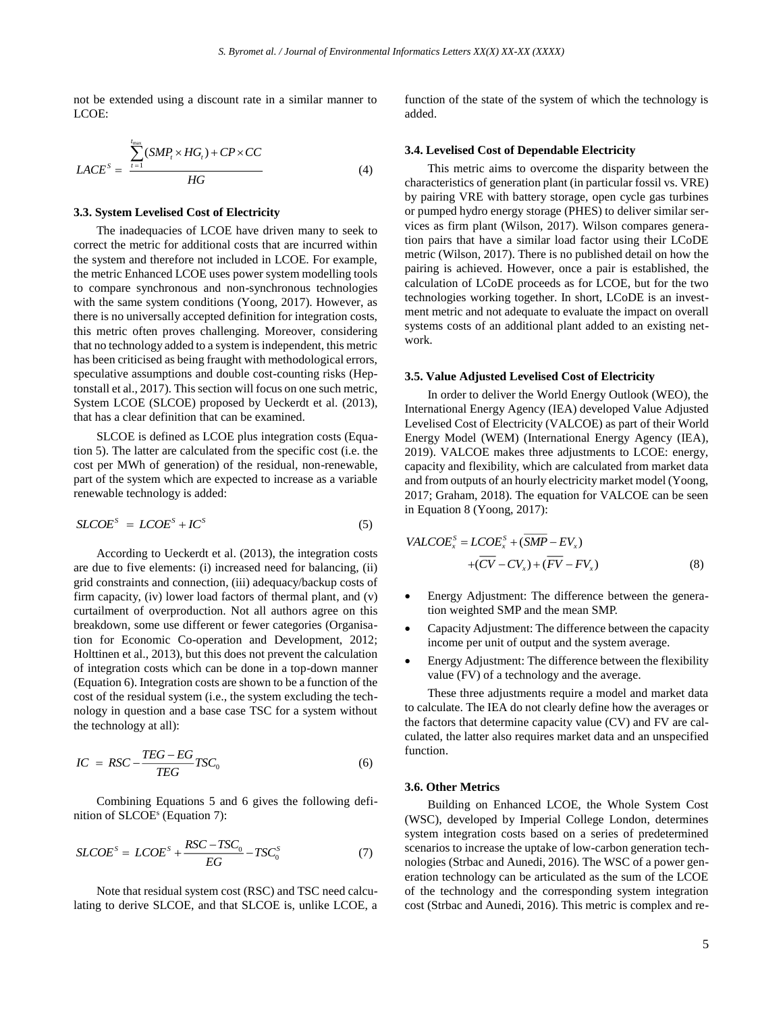not be extended using a discount rate in a similar manner to LCOE:

$$
LACE^{S} = \frac{\sum_{t=1}^{I_{\text{max}}}(SMP_t \times HG_t) + CP \times CC}{HG}
$$
 (4)

#### **3.3. System Levelised Cost of Electricity**

The inadequacies of LCOE have driven many to seek to correct the metric for additional costs that are incurred within the system and therefore not included in LCOE. For example, the metric Enhanced LCOE uses power system modelling tools to compare synchronous and non-synchronous technologies with the same system conditions (Yoong, 2017). However, as there is no universally accepted definition for integration costs, this metric often proves challenging. Moreover, considering that no technology added to a system is independent, this metric has been criticised as being fraught with methodological errors, speculative assumptions and double cost-counting risks (Heptonstall et al., 2017). This section will focus on one such metric, System LCOE (SLCOE) proposed by Ueckerdt et al. (2013), that has a clear definition that can be examined.

SLCOE is defined as LCOE plus integration costs (Equation 5). The latter are calculated from the specific cost (i.e. the cost per MWh of generation) of the residual, non-renewable, part of the system which are expected to increase as a variable renewable technology is added:

$$
SLOES = LCOES + ICS
$$
 (5)

According to Ueckerdt et al. (2013), the integration costs are due to five elements: (i) increased need for balancing, (ii) grid constraints and connection, (iii) adequacy/backup costs of firm capacity, (iv) lower load factors of thermal plant, and (v) curtailment of overproduction. Not all authors agree on this breakdown, some use different or fewer categories (Organisation for Economic Co-operation and Development, 2012; Holttinen et al., 2013), but this does not prevent the calculation of integration costs which can be done in a top-down manner (Equation 6). Integration costs are shown to be a function of the cost of the residual system (i.e., the system excluding the technology in question and a base case TSC for a system without the technology at all):

$$
IC = RSC - \frac{TEG - EG}{TEG} TSC_0 \tag{6}
$$

Combining Equations 5 and 6 gives the following definition of SLCOE<sup>s</sup> (Equation 7):

$$
SLCOES = LCOES + \frac{RSC - TSC_0}{EG} - TSC_0S
$$
 (7)

Note that residual system cost (RSC) and TSC need calculating to derive SLCOE, and that SLCOE is, unlike LCOE, a function of the state of the system of which the technology is added.

#### **3.4. Levelised Cost of Dependable Electricity**

This metric aims to overcome the disparity between the characteristics of generation plant (in particular fossil vs. VRE) by pairing VRE with battery storage, open cycle gas turbines or pumped hydro energy storage (PHES) to deliver similar services as firm plant (Wilson, 2017). Wilson compares generation pairs that have a similar load factor using their LCoDE metric (Wilson, 2017). There is no published detail on how the pairing is achieved. However, once a pair is established, the calculation of LCoDE proceeds as for LCOE, but for the two technologies working together. In short, LCoDE is an investment metric and not adequate to evaluate the impact on overall systems costs of an additional plant added to an existing network.

#### **3.5. Value Adjusted Levelised Cost of Electricity**

In order to deliver the World Energy Outlook (WEO), the International Energy Agency (IEA) developed Value Adjusted Levelised Cost of Electricity (VALCOE) as part of their World Energy Model (WEM) (International Energy Agency (IEA), 2019). VALCOE makes three adjustments to LCOE: energy, capacity and flexibility, which are calculated from market data and from outputs of an hourly electricity market model (Yoong, 2017; Graham, 2018). The equation for VALCOE can be seen in Equation 8 (Yoong, 2017):

$$
VALCOE_x^S = LCOE_x^S + (\overline{SMP} - EV_x) + (\overline{CV} - CV_x) + (\overline{FV} - FV_x)
$$
(8)

- Energy Adjustment: The difference between the generation weighted SMP and the mean SMP.
- Capacity Adjustment: The difference between the capacity income per unit of output and the system average.
- Energy Adjustment: The difference between the flexibility value (FV) of a technology and the average.

These three adjustments require a model and market data to calculate. The IEA do not clearly define how the averages or the factors that determine capacity value (CV) and FV are calculated, the latter also requires market data and an unspecified function.

#### **3.6. Other Metrics**

Building on Enhanced LCOE, the Whole System Cost (WSC), developed by Imperial College London, determines system integration costs based on a series of predetermined scenarios to increase the uptake of low-carbon generation technologies (Strbac and Aunedi, 2016). The WSC of a power generation technology can be articulated as the sum of the LCOE of the technology and the corresponding system integration cost (Strbac and Aunedi, 2016). This metric is complex and re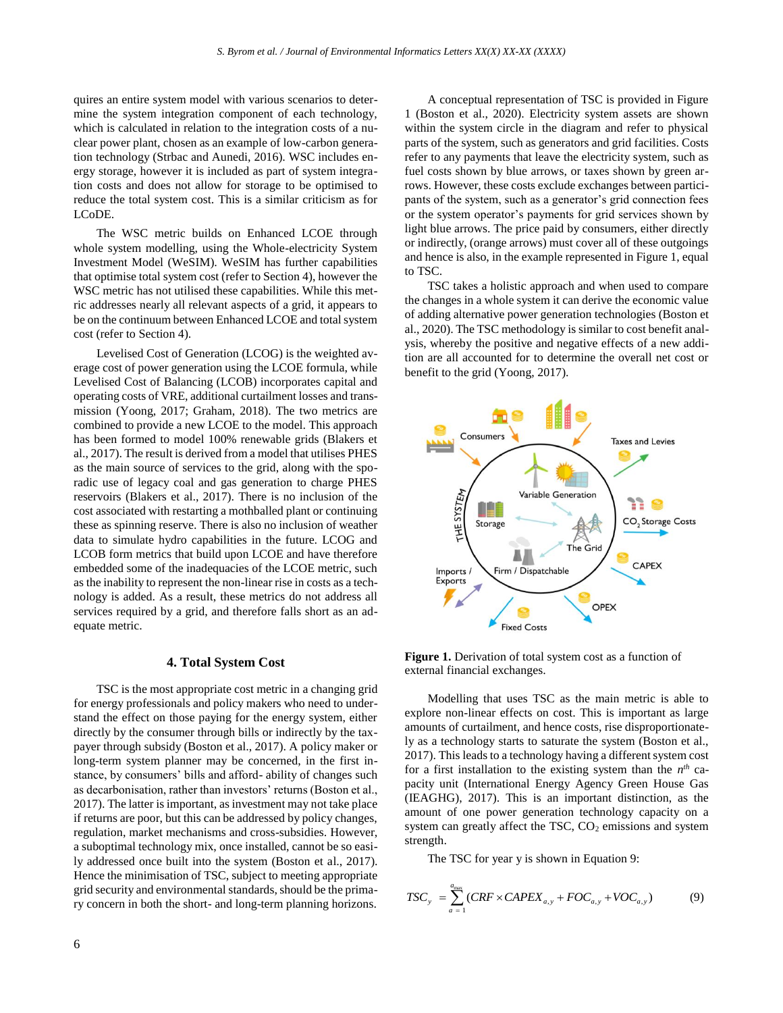quires an entire system model with various scenarios to determine the system integration component of each technology, which is calculated in relation to the integration costs of a nuclear power plant, chosen as an example of low-carbon generation technology (Strbac and Aunedi, 2016). WSC includes energy storage, however it is included as part of system integration costs and does not allow for storage to be optimised to reduce the total system cost. This is a similar criticism as for LCoDE.

The WSC metric builds on Enhanced LCOE through whole system modelling, using the Whole-electricity System Investment Model (WeSIM). WeSIM has further capabilities that optimise total system cost (refer to Section 4), however the WSC metric has not utilised these capabilities. While this metric addresses nearly all relevant aspects of a grid, it appears to be on the continuum between Enhanced LCOE and total system cost (refer to Section 4).

Levelised Cost of Generation (LCOG) is the weighted average cost of power generation using the LCOE formula, while Levelised Cost of Balancing (LCOB) incorporates capital and operating costs of VRE, additional curtailment losses and transmission (Yoong, 2017; Graham, 2018). The two metrics are combined to provide a new LCOE to the model. This approach has been formed to model 100% renewable grids (Blakers et al., 2017). The result is derived from a model that utilises PHES as the main source of services to the grid, along with the sporadic use of legacy coal and gas generation to charge PHES reservoirs (Blakers et al., 2017). There is no inclusion of the cost associated with restarting a mothballed plant or continuing these as spinning reserve. There is also no inclusion of weather data to simulate hydro capabilities in the future. LCOG and LCOB form metrics that build upon LCOE and have therefore embedded some of the inadequacies of the LCOE metric, such as the inability to represent the non-linear rise in costs as a technology is added. As a result, these metrics do not address all services required by a grid, and therefore falls short as an adequate metric.

## **4. Total System Cost**

TSC is the most appropriate cost metric in a changing grid for energy professionals and policy makers who need to understand the effect on those paying for the energy system, either directly by the consumer through bills or indirectly by the taxpayer through subsidy (Boston et al., 2017). A policy maker or long-term system planner may be concerned, in the first instance, by consumers' bills and afford- ability of changes such as decarbonisation, rather than investors' returns (Boston et al., 2017). The latter is important, as investment may not take place if returns are poor, but this can be addressed by policy changes, regulation, market mechanisms and cross-subsidies. However, a suboptimal technology mix, once installed, cannot be so easily addressed once built into the system (Boston et al., 2017). Hence the minimisation of TSC, subject to meeting appropriate grid security and environmental standards, should be the primary concern in both the short- and long-term planning horizons.

A conceptual representation of TSC is provided in Figure 1 (Boston et al., 2020). Electricity system assets are shown within the system circle in the diagram and refer to physical parts of the system, such as generators and grid facilities. Costs refer to any payments that leave the electricity system, such as fuel costs shown by blue arrows, or taxes shown by green arrows. However, these costs exclude exchanges between participants of the system, such as a generator's grid connection fees or the system operator's payments for grid services shown by light blue arrows. The price paid by consumers, either directly or indirectly, (orange arrows) must cover all of these outgoings and hence is also, in the example represented in Figure 1, equal to TSC.

TSC takes a holistic approach and when used to compare the changes in a whole system it can derive the economic value of adding alternative power generation technologies (Boston et al., 2020). The TSC methodology is similar to cost benefit analysis, whereby the positive and negative effects of a new addition are all accounted for to determine the overall net cost or benefit to the grid (Yoong, 2017).



**Figure 1.** Derivation of total system cost as a function of external financial exchanges.

Modelling that uses TSC as the main metric is able to explore non-linear effects on cost. This is important as large amounts of curtailment, and hence costs, rise disproportionately as a technology starts to saturate the system (Boston et al., 2017). This leads to a technology having a different system cost for a first installation to the existing system than the  $n^{th}$  capacity unit (International Energy Agency Green House Gas (IEAGHG), 2017). This is an important distinction, as the amount of one power generation technology capacity on a system can greatly affect the TSC,  $CO<sub>2</sub>$  emissions and system strength.

The TSC for year y is shown in Equation 9:

$$
TSC_y = \sum_{a=1}^{a_{\text{max}}} (CRF \times CAPEX_{a,y} + FOC_{a,y} + VOC_{a,y})
$$
 (9)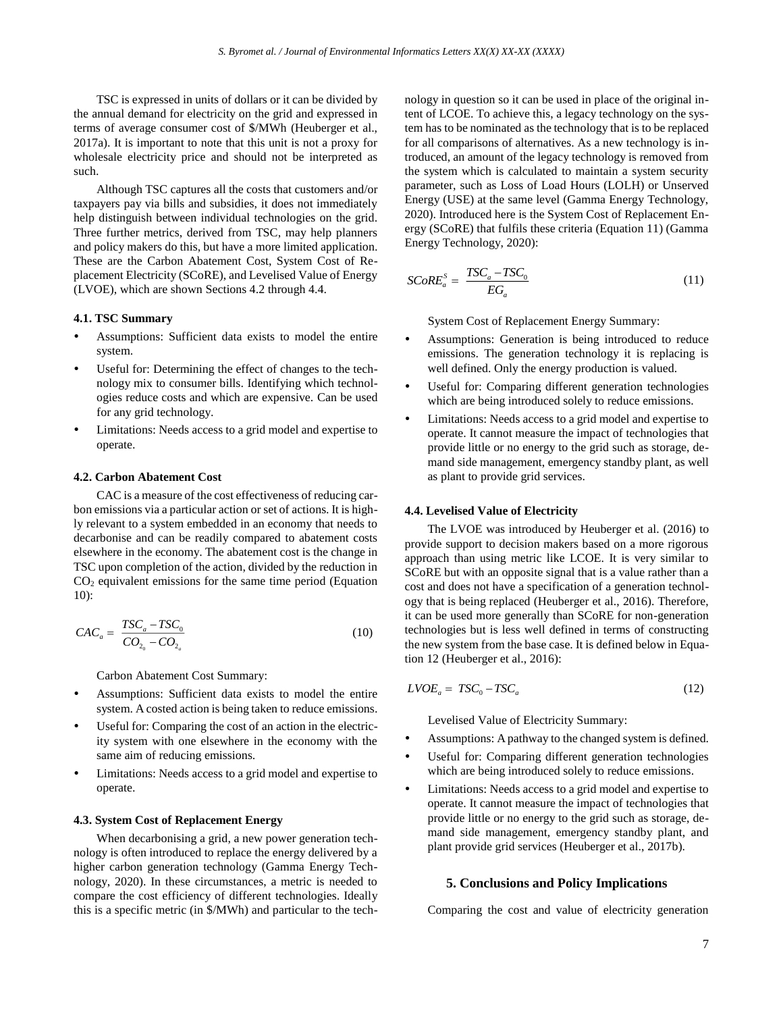TSC is expressed in units of dollars or it can be divided by the annual demand for electricity on the grid and expressed in terms of average consumer cost of \$/MWh (Heuberger et al., 2017a). It is important to note that this unit is not a proxy for wholesale electricity price and should not be interpreted as such.

Although TSC captures all the costs that customers and/or taxpayers pay via bills and subsidies, it does not immediately help distinguish between individual technologies on the grid. Three further metrics, derived from TSC, may help planners and policy makers do this, but have a more limited application. These are the Carbon Abatement Cost, System Cost of Replacement Electricity (SCoRE), and Levelised Value of Energy (LVOE), which are shown Sections 4.2 through 4.4.

## **4.1. TSC Summary**

- Assumptions: Sufficient data exists to model the entire system.
- Useful for: Determining the effect of changes to the technology mix to consumer bills. Identifying which technologies reduce costs and which are expensive. Can be used for any grid technology.
- Limitations: Needs access to a grid model and expertise to operate.

#### **4.2. Carbon Abatement Cost**

CAC is a measure of the cost effectiveness of reducing carbon emissions via a particular action or set of actions. It is highly relevant to a system embedded in an economy that needs to decarbonise and can be readily compared to abatement costs elsewhere in the economy. The abatement cost is the change in TSC upon completion of the action, divided by the reduction in  $CO<sub>2</sub>$  equivalent emissions for the same time period (Equation 10):

$$
CAC_a = \frac{TSC_a - TSC_0}{CO_{2_0} - CO_{2_a}}
$$
\n
$$
(10)
$$

Carbon Abatement Cost Summary:

- Assumptions: Sufficient data exists to model the entire system. A costed action is being taken to reduce emissions.
- Useful for: Comparing the cost of an action in the electricity system with one elsewhere in the economy with the same aim of reducing emissions.
- Limitations: Needs access to a grid model and expertise to operate.

#### **4.3. System Cost of Replacement Energy**

When decarbonising a grid, a new power generation technology is often introduced to replace the energy delivered by a higher carbon generation technology (Gamma Energy Technology, 2020). In these circumstances, a metric is needed to compare the cost efficiency of different technologies. Ideally this is a specific metric (in \$/MWh) and particular to the technology in question so it can be used in place of the original intent of LCOE. To achieve this, a legacy technology on the system has to be nominated as the technology that is to be replaced for all comparisons of alternatives. As a new technology is introduced, an amount of the legacy technology is removed from the system which is calculated to maintain a system security parameter, such as Loss of Load Hours (LOLH) or Unserved Energy (USE) at the same level (Gamma Energy Technology, 2020). Introduced here is the System Cost of Replacement Energy (SCoRE) that fulfils these criteria (Equation 11) (Gamma Energy Technology, 2020):

$$
SCoRE_a^S = \frac{TSC_a - TSC_0}{EG_a} \tag{11}
$$

System Cost of Replacement Energy Summary:

- Assumptions: Generation is being introduced to reduce emissions. The generation technology it is replacing is well defined. Only the energy production is valued.
- Useful for: Comparing different generation technologies which are being introduced solely to reduce emissions.
- Limitations: Needs access to a grid model and expertise to operate. It cannot measure the impact of technologies that provide little or no energy to the grid such as storage, demand side management, emergency standby plant, as well as plant to provide grid services.

## **4.4. Levelised Value of Electricity**

The LVOE was introduced by Heuberger et al. (2016) to provide support to decision makers based on a more rigorous approach than using metric like LCOE. It is very similar to SCoRE but with an opposite signal that is a value rather than a cost and does not have a specification of a generation technology that is being replaced (Heuberger et al., 2016). Therefore, it can be used more generally than SCoRE for non-generation technologies but is less well defined in terms of constructing the new system from the base case. It is defined below in Equation 12 (Heuberger et al., 2016):

$$
LVOE_a = TSC_0 - TSC_a \tag{12}
$$

Levelised Value of Electricity Summary:

- Assumptions: A pathway to the changed system is defined.
- Useful for: Comparing different generation technologies which are being introduced solely to reduce emissions.
- Limitations: Needs access to a grid model and expertise to operate. It cannot measure the impact of technologies that provide little or no energy to the grid such as storage, demand side management, emergency standby plant, and plant provide grid services (Heuberger et al., 2017b).

#### **5. Conclusions and Policy Implications**

Comparing the cost and value of electricity generation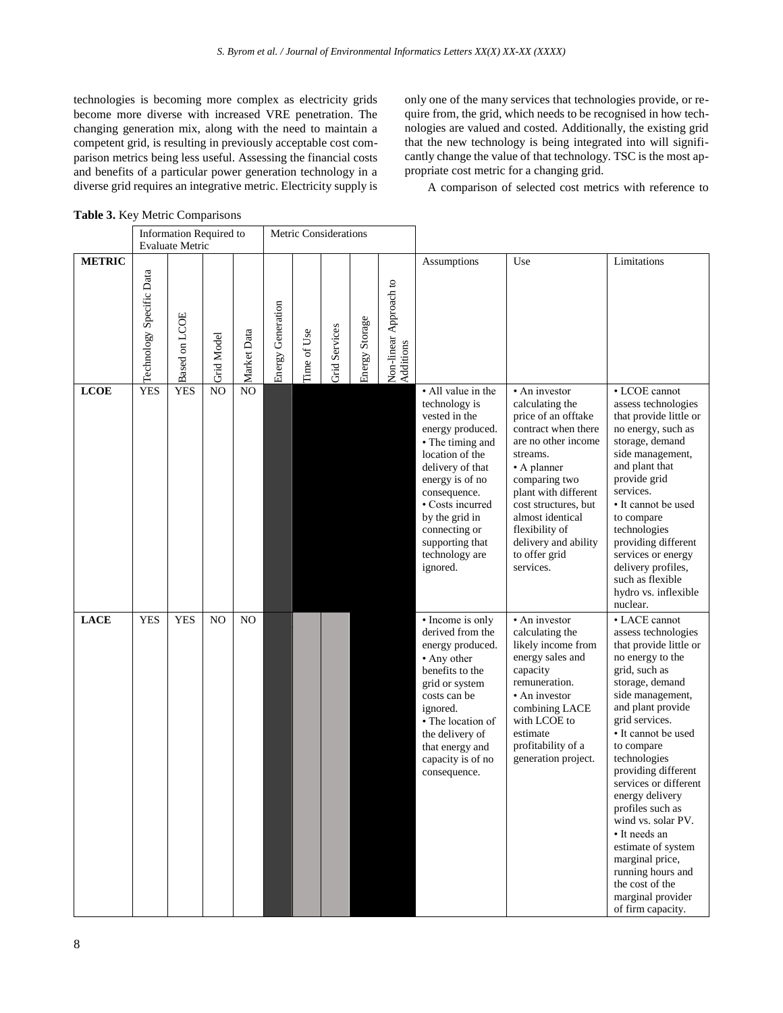technologies is becoming more complex as electricity grids become more diverse with increased VRE penetration. The changing generation mix, along with the need to maintain a competent grid, is resulting in previously acceptable cost comparison metrics being less useful. Assessing the financial costs and benefits of a particular power generation technology in a diverse grid requires an integrative metric. Electricity supply is only one of the many services that technologies provide, or require from, the grid, which needs to be recognised in how technologies are valued and costed. Additionally, the existing grid that the new technology is being integrated into will significantly change the value of that technology. TSC is the most appropriate cost metric for a changing grid.

A comparison of selected cost metrics with reference to

| Table 3. Key Metric Comparisons |  |  |
|---------------------------------|--|--|
|                                 |  |  |

|               | Information Required to<br><b>Evaluate Metric</b> |               |                   |                | Metric Considerations |             |                      |                |                                     |                                                                                                                                                                                                                                                                                |                                                                                                                                                                                                                                                                                               |                                                                                                                                                                                                                                                                                                                                                                                                                                                                                                 |
|---------------|---------------------------------------------------|---------------|-------------------|----------------|-----------------------|-------------|----------------------|----------------|-------------------------------------|--------------------------------------------------------------------------------------------------------------------------------------------------------------------------------------------------------------------------------------------------------------------------------|-----------------------------------------------------------------------------------------------------------------------------------------------------------------------------------------------------------------------------------------------------------------------------------------------|-------------------------------------------------------------------------------------------------------------------------------------------------------------------------------------------------------------------------------------------------------------------------------------------------------------------------------------------------------------------------------------------------------------------------------------------------------------------------------------------------|
| <b>METRIC</b> | Technology Specific Data                          | Based on LCOE | <b>Grid Model</b> | Market Data    | Energy Generation     | Time of Use | <b>Grid Services</b> | Energy Storage | Non-linear Approach to<br>Additions | Assumptions                                                                                                                                                                                                                                                                    | Use                                                                                                                                                                                                                                                                                           | Limitations                                                                                                                                                                                                                                                                                                                                                                                                                                                                                     |
| <b>LCOE</b>   | <b>YES</b>                                        | <b>YES</b>    | N <sub>O</sub>    | NO             |                       |             |                      |                |                                     | • All value in the<br>technology is<br>vested in the<br>energy produced.<br>• The timing and<br>location of the<br>delivery of that<br>energy is of no<br>consequence.<br>• Costs incurred<br>by the grid in<br>connecting or<br>supporting that<br>technology are<br>ignored. | • An investor<br>calculating the<br>price of an offtake<br>contract when there<br>are no other income<br>streams.<br>• A planner<br>comparing two<br>plant with different<br>cost structures, but<br>almost identical<br>flexibility of<br>delivery and ability<br>to offer grid<br>services. | • LCOE cannot<br>assess technologies<br>that provide little or<br>no energy, such as<br>storage, demand<br>side management,<br>and plant that<br>provide grid<br>services.<br>• It cannot be used<br>to compare<br>technologies<br>providing different<br>services or energy<br>delivery profiles,<br>such as flexible<br>hydro vs. inflexible<br>nuclear.                                                                                                                                      |
| <b>LACE</b>   | <b>YES</b>                                        | <b>YES</b>    | N <sub>O</sub>    | N <sub>O</sub> |                       |             |                      |                |                                     | • Income is only<br>derived from the<br>energy produced.<br>• Any other<br>benefits to the<br>grid or system<br>costs can be<br>ignored.<br>• The location of<br>the delivery of<br>that energy and<br>capacity is of no<br>consequence.                                       | • An investor<br>calculating the<br>likely income from<br>energy sales and<br>capacity<br>remuneration.<br>• An investor<br>combining LACE<br>with LCOE to<br>estimate<br>profitability of a<br>generation project.                                                                           | • LACE cannot<br>assess technologies<br>that provide little or<br>no energy to the<br>grid, such as<br>storage, demand<br>side management,<br>and plant provide<br>grid services.<br>• It cannot be used<br>to compare<br>technologies<br>providing different<br>services or different<br>energy delivery<br>profiles such as<br>wind vs. solar PV.<br>• It needs an<br>estimate of system<br>marginal price,<br>running hours and<br>the cost of the<br>marginal provider<br>of firm capacity. |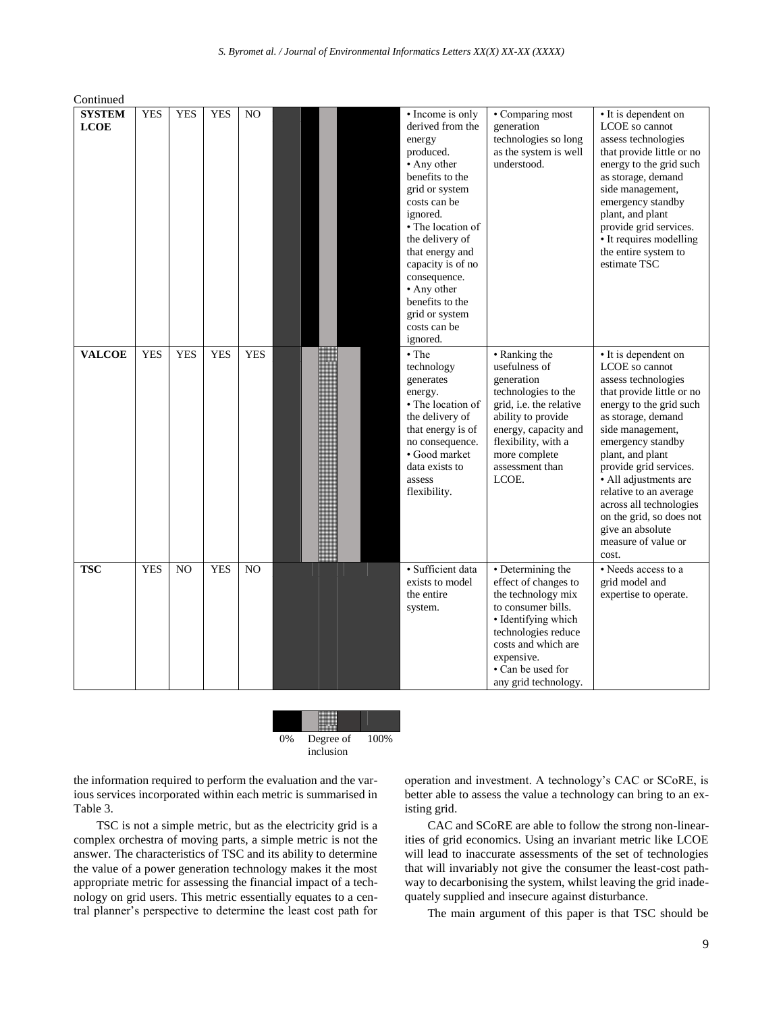Continued

| <b>SYSTEM</b><br><b>LCOE</b> | <b>YES</b> | <b>YES</b>     | <b>YES</b> | NO.            | • Income is only<br>derived from the<br>energy<br>produced.<br>• Any other<br>benefits to the<br>grid or system<br>costs can be<br>ignored.<br>• The location of<br>the delivery of<br>that energy and<br>capacity is of no<br>consequence.<br>• Any other<br>benefits to the<br>grid or system<br>costs can be<br>ignored. | • Comparing most<br>generation<br>technologies so long<br>as the system is well<br>understood.                                                                                                                        | • It is dependent on<br>LCOE so cannot<br>assess technologies<br>that provide little or no<br>energy to the grid such<br>as storage, demand<br>side management,<br>emergency standby<br>plant, and plant<br>provide grid services.<br>• It requires modelling<br>the entire system to<br>estimate TSC                                                                                            |
|------------------------------|------------|----------------|------------|----------------|-----------------------------------------------------------------------------------------------------------------------------------------------------------------------------------------------------------------------------------------------------------------------------------------------------------------------------|-----------------------------------------------------------------------------------------------------------------------------------------------------------------------------------------------------------------------|--------------------------------------------------------------------------------------------------------------------------------------------------------------------------------------------------------------------------------------------------------------------------------------------------------------------------------------------------------------------------------------------------|
| <b>VALCOE</b>                | <b>YES</b> | <b>YES</b>     | <b>YES</b> | <b>YES</b>     | • The<br>technology<br>generates<br>energy.<br>• The location of<br>the delivery of<br>that energy is of<br>no consequence.<br>• Good market<br>data exists to<br>assess<br>flexibility.                                                                                                                                    | • Ranking the<br>usefulness of<br>generation<br>technologies to the<br>grid, i.e. the relative<br>ability to provide<br>energy, capacity and<br>flexibility, with a<br>more complete<br>assessment than<br>LCOE.      | • It is dependent on<br>LCOE so cannot<br>assess technologies<br>that provide little or no<br>energy to the grid such<br>as storage, demand<br>side management,<br>emergency standby<br>plant, and plant<br>provide grid services.<br>• All adjustments are<br>relative to an average<br>across all technologies<br>on the grid, so does not<br>give an absolute<br>measure of value or<br>cost. |
| <b>TSC</b>                   | <b>YES</b> | N <sub>O</sub> | <b>YES</b> | N <sub>O</sub> | · Sufficient data<br>exists to model<br>the entire<br>system.                                                                                                                                                                                                                                                               | • Determining the<br>effect of changes to<br>the technology mix<br>to consumer bills.<br>• Identifying which<br>technologies reduce<br>costs and which are<br>expensive.<br>• Can be used for<br>any grid technology. | • Needs access to a<br>grid model and<br>expertise to operate.                                                                                                                                                                                                                                                                                                                                   |

0% Degree of 100%

inclusion

the information required to perform the evaluation and the various services incorporated within each metric is summarised in Table 3.

TSC is not a simple metric, but as the electricity grid is a complex orchestra of moving parts, a simple metric is not the answer. The characteristics of TSC and its ability to determine the value of a power generation technology makes it the most appropriate metric for assessing the financial impact of a technology on grid users. This metric essentially equates to a central planner's perspective to determine the least cost path for operation and investment. A technology's CAC or SCoRE, is better able to assess the value a technology can bring to an existing grid.

CAC and SCoRE are able to follow the strong non-linearities of grid economics. Using an invariant metric like LCOE will lead to inaccurate assessments of the set of technologies that will invariably not give the consumer the least-cost pathway to decarbonising the system, whilst leaving the grid inadequately supplied and insecure against disturbance.

The main argument of this paper is that TSC should be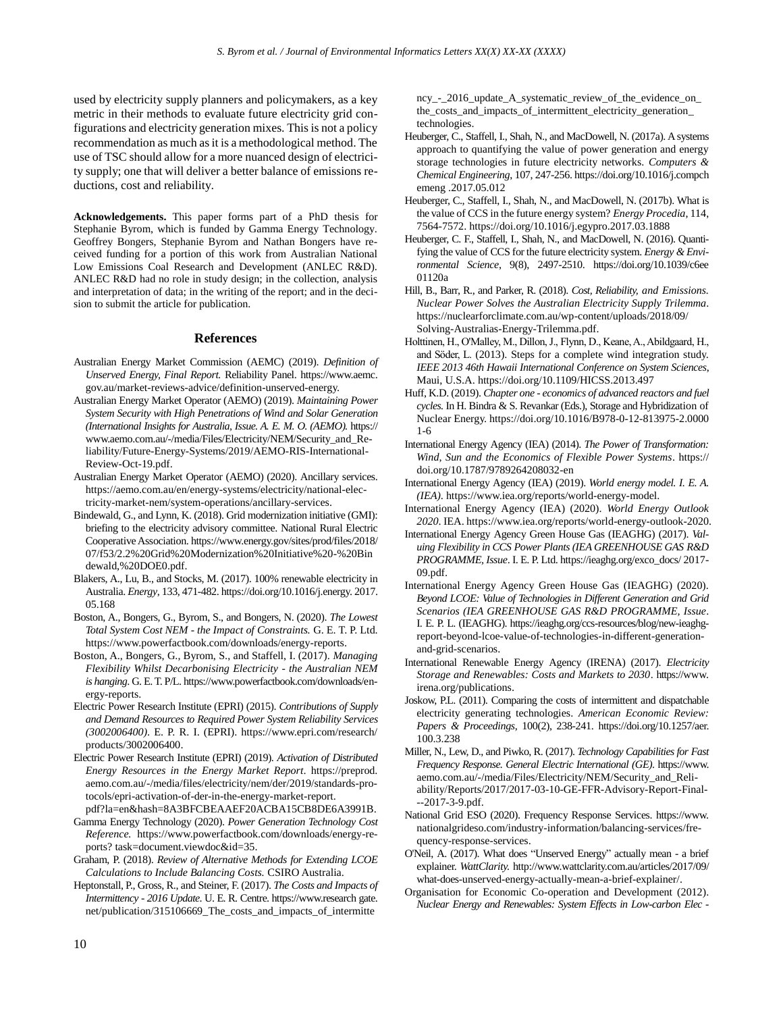used by electricity supply planners and policymakers, as a key metric in their methods to evaluate future electricity grid configurations and electricity generation mixes. This is not a policy recommendation as much as it is a methodological method. The use of TSC should allow for a more nuanced design of electricity supply; one that will deliver a better balance of emissions reductions, cost and reliability.

**Acknowledgements.** This paper forms part of a PhD thesis for Stephanie Byrom, which is funded by Gamma Energy Technology. Geoffrey Bongers, Stephanie Byrom and Nathan Bongers have received funding for a portion of this work from Australian National Low Emissions Coal Research and Development (ANLEC R&D). ANLEC R&D had no role in study design; in the collection, analysis and interpretation of data; in the writing of the report; and in the decision to submit the article for publication.

## **References**

- Australian Energy Market Commission (AEMC) (2019). *Definition of Unserved Energy, Final Report.* Reliability Panel. https://www.aemc. gov.au/market-reviews-advice/definition-unserved-energy.
- Australian Energy Market Operator (AEMO) (2019). *Maintaining Power System Security with High Penetrations of Wind and Solar Generation (International Insights for Australia, Issue. A. E. M. O. (AEMO).* https:// www.aemo.com.au/-/media/Files/Electricity/NEM/Security\_and\_Reliability/Future-Energy-Systems/2019/AEMO-RIS-International-Review-Oct-19.pdf.
- Australian Energy Market Operator (AEMO) (2020). Ancillary services. https://aemo.com.au/en/energy-systems/electricity/national-electricity-market-nem/system-operations/ancillary-services.
- Bindewald, G., and Lynn, K. (2018). Grid modernization initiative (GMI): briefing to the electricity advisory committee. National Rural Electric Cooperative Association. https://www.energy.gov/sites/prod/files/2018/ 07/f53/2.2%20Grid%20Modernization%20Initiative%20-%20Bin dewald,%20DOE0.pdf.
- Blakers, A., Lu, B., and Stocks, M. (2017). 100% renewable electricity in Australia. *Energy*, 133, 471-482. https://doi.org/10.1016/j.energy. 2017. 05.168
- Boston, A., Bongers, G., Byrom, S., and Bongers, N. (2020). *The Lowest Total System Cost NEM - the Impact of Constraints.* G. E. T. P. Ltd. https://www.powerfactbook.com/downloads/energy-reports.
- Boston, A., Bongers, G., Byrom, S., and Staffell, I. (2017). *Managing Flexibility Whilst Decarbonising Electricity - the Australian NEM is hanging*. G. E. T. P/L. https://www.powerfactbook.com/downloads/energy-reports.
- Electric Power Research Institute (EPRI) (2015). *Contributions of Supply and Demand Resources to Required Power System Reliability Services (3002006400)*. E. P. R. I. (EPRI). https://www.epri.com/research/ products/3002006400.
- Electric Power Research Institute (EPRI) (2019). *Activation of Distributed Energy Resources in the Energy Market Report*. https://preprod. aemo.com.au/-/media/files/electricity/nem/der/2019/standards-protocols/epri-activation-of-der-in-the-energy-market-report.
- pdf?la=en&hash=8A3BFCBEAAEF20ACBA15CB8DE6A3991B.
- Gamma Energy Technology (2020). *Power Generation Technology Cost Reference.* https://www.powerfactbook.com/downloads/energy-reports? task=document.viewdoc&id=35.
- Graham, P. (2018). *Review of Alternative Methods for Extending LCOE Calculations to Include Balancing Costs.* CSIRO Australia.
- Heptonstall, P., Gross, R., and Steiner, F. (2017). *The Costs and Impacts of Intermittency - 2016 Update*. U. E. R. Centre. https://www.research gate. net/publication/315106669\_The\_costs\_and\_impacts\_of\_intermitte

ncy<sub>--</sub> 2016\_update\_A\_systematic\_review\_of\_the\_evidence\_on\_ the\_costs\_and\_impacts\_of\_intermittent\_electricity\_generation\_ technologies.

- Heuberger, C., Staffell, I., Shah, N., and MacDowell, N. (2017a). A systems approach to quantifying the value of power generation and energy storage technologies in future electricity networks. *Computers & Chemical Engineering*, 107, 247-256. https://doi.org/10.1016/j.compch emeng .2017.05.012
- Heuberger, C., Staffell, I., Shah, N., and MacDowell, N. (2017b). What is the value of CCS in the future energy system? *Energy Procedia*, 114, 7564-7572. https://doi.org/10.1016/j.egypro.2017.03.1888
- Heuberger, C. F., Staffell, I., Shah, N., and MacDowell, N. (2016). Quantifying the value of CCS for the future electricity system. *Energy & Environmental Science*, 9(8), 2497-2510. https://doi.org/10.1039/c6ee 01120a
- Hill, B., Barr, R., and Parker, R. (2018). *Cost, Reliability, and Emissions. Nuclear Power Solves the Australian Electricity Supply Trilemma*. https://nuclearforclimate.com.au/wp-content/uploads/2018/09/ Solving-Australias-Energy-Trilemma.pdf.
- Holttinen, H., O'Malley, M., Dillon, J., Flynn, D., Keane, A., Abildgaard, H., and Söder, L. (2013). Steps for a complete wind integration study. *IEEE 2013 46th Hawaii International Conference on System Sciences*, Maui, U.S.A. https://doi.org/10.1109/HICSS.2013.497
- Huff, K.D. (2019). *Chapter one - economics of advanced reactors and fuel cycles.* In H. Bindra & S. Revankar (Eds.), Storage and Hybridization of Nuclear Energy. <https://doi.org/10.1016/B978-0-12-813975-2.0000> 1-6
- International Energy Agency (IEA) (2014). *The Power of Transformation: Wind, Sun and the Economics of Flexible Power Systems*. https:// doi.org/10.1787/9789264208032-en
- International Energy Agency (IEA) (2019). *World energy model. I. E. A. (IEA)*. [https://www.iea.org/reports/world-energy-model.](https://www.iea.org/reports/world-energy-model)
- International Energy Agency (IEA) (2020). *World Energy Outlook 2020*. IEA. https://www.iea.org/reports/world-energy-outlook-2020.
- International Energy Agency Green House Gas (IEAGHG) (2017). *Valuing Flexibility in CCS Power Plants (IEA GREENHOUSE GAS R&D PROGRAMME, Issue*. I. E. P. Ltd. https://ieaghg.org/exco\_docs/ 2017- 09.pdf.
- International Energy Agency Green House Gas (IEAGHG) (2020). *Beyond LCOE: Value of Technologies in Different Generation and Grid Scenarios (IEA GREENHOUSE GAS R&D PROGRAMME, Issue*. I. E. P. L. (IEAGHG). https://ieaghg.org/ccs-resources/blog/new-ieaghgreport-beyond-lcoe-value-of-technologies-in-different-generationand-grid-scenarios.
- International Renewable Energy Agency (IRENA) (2017). *Electricity Storage and Renewables: Costs and Markets to 2030*. https://www. irena.org/publications.
- Joskow, P.L. (2011). Comparing the costs of intermittent and dispatchable electricity generating technologies. *American Economic Review: Papers & Proceedings*, 100(2), 238-241. https://doi.org/10.1257/aer. 100.3.238
- Miller, N., Lew, D., and Piwko, R. (2017). *Technology Capabilities for Fast Frequency Response. General Electric International (GE)*. https://www. aemo.com.au/-/media/Files/Electricity/NEM/Security\_and\_Reliability/Reports/2017/2017-03-10-GE-FFR-Advisory-Report-Final- --2017-3-9.pdf.
- National Grid ESO (2020). Frequency Response Services. https://www. nationalgrideso.com/industry-information/balancing-services/frequency-response-services.
- O'Neil, A. (2017). What does "Unserved Energy" actually mean a brief explainer. *WattClarity.* http://www.wattclarity.com.au/articles/2017/09/ what-does-unserved-energy-actually-mean-a-brief-explainer/.
- Organisation for Economic Co-operation and Development (2012). *Nuclear Energy and Renewables: System Effects in Low-carbon Elec -*